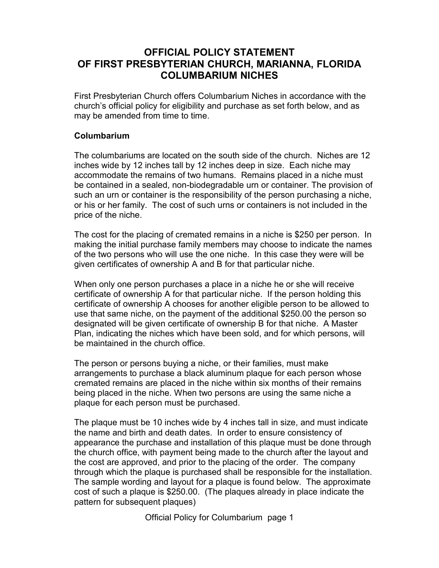## **OFFICIAL POLICY STATEMENT OF FIRST PRESBYTERIAN CHURCH, MARIANNA, FLORIDA COLUMBARIUM NICHES**

First Presbyterian Church offers Columbarium Niches in accordance with the church's official policy for eligibility and purchase as set forth below, and as may be amended from time to time.

### **Columbarium**

The columbariums are located on the south side of the church. Niches are 12 inches wide by 12 inches tall by 12 inches deep in size. Each niche may accommodate the remains of two humans. Remains placed in a niche must be contained in a sealed, non-biodegradable urn or container. The provision of such an urn or container is the responsibility of the person purchasing a niche, or his or her family. The cost of such urns or containers is not included in the price of the niche.

The cost for the placing of cremated remains in a niche is \$250 per person. In making the initial purchase family members may choose to indicate the names of the two persons who will use the one niche. In this case they were will be given certificates of ownership A and B for that particular niche.

When only one person purchases a place in a niche he or she will receive certificate of ownership A for that particular niche. If the person holding this certificate of ownership A chooses for another eligible person to be allowed to use that same niche, on the payment of the additional \$250.00 the person so designated will be given certificate of ownership B for that niche. A Master Plan, indicating the niches which have been sold, and for which persons, will be maintained in the church office.

The person or persons buying a niche, or their families, must make arrangements to purchase a black aluminum plaque for each person whose cremated remains are placed in the niche within six months of their remains being placed in the niche. When two persons are using the same niche a plaque for each person must be purchased.

The plaque must be 10 inches wide by 4 inches tall in size, and must indicate the name and birth and death dates. In order to ensure consistency of appearance the purchase and installation of this plaque must be done through the church office, with payment being made to the church after the layout and the cost are approved, and prior to the placing of the order. The company through which the plaque is purchased shall be responsible for the installation. The sample wording and layout for a plaque is found below. The approximate cost of such a plaque is \$250.00. (The plaques already in place indicate the pattern for subsequent plaques)

Official Policy for Columbarium page 1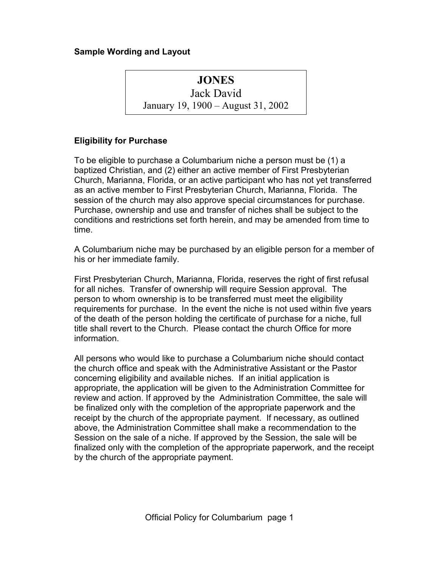### **Sample Wording and Layout**

# **JONES**

Jack David January 19, 1900 – August 31, 2002

#### **Eligibility for Purchase**

To be eligible to purchase a Columbarium niche a person must be (1) a baptized Christian, and (2) either an active member of First Presbyterian Church, Marianna, Florida, or an active participant who has not yet transferred as an active member to First Presbyterian Church, Marianna, Florida. The session of the church may also approve special circumstances for purchase. Purchase, ownership and use and transfer of niches shall be subject to the conditions and restrictions set forth herein, and may be amended from time to time.

A Columbarium niche may be purchased by an eligible person for a member of his or her immediate family.

First Presbyterian Church, Marianna, Florida, reserves the right of first refusal for all niches. Transfer of ownership will require Session approval. The person to whom ownership is to be transferred must meet the eligibility requirements for purchase. In the event the niche is not used within five years of the death of the person holding the certificate of purchase for a niche, full title shall revert to the Church. Please contact the church Office for more information.

All persons who would like to purchase a Columbarium niche should contact the church office and speak with the Administrative Assistant or the Pastor concerning eligibility and available niches. If an initial application is appropriate, the application will be given to the Administration Committee for review and action. If approved by the Administration Committee, the sale will be finalized only with the completion of the appropriate paperwork and the receipt by the church of the appropriate payment. If necessary, as outlined above, the Administration Committee shall make a recommendation to the Session on the sale of a niche. If approved by the Session, the sale will be finalized only with the completion of the appropriate paperwork, and the receipt by the church of the appropriate payment.